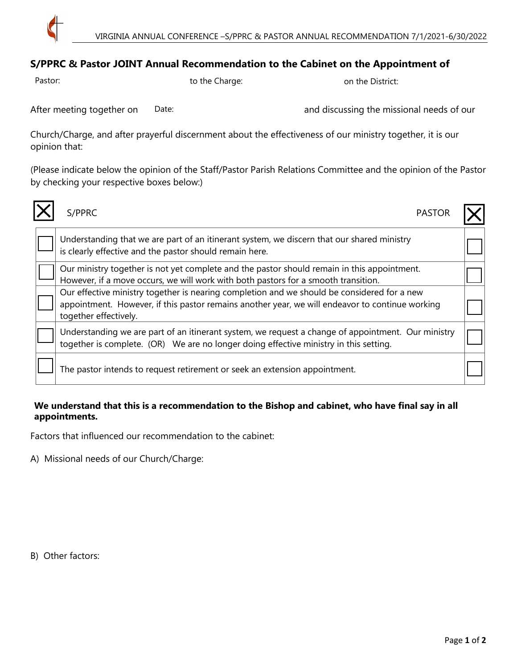

## **S/PPRC & Pastor JOINT Annual Recommendation to the Cabinet on the Appointment of**

Pastor:

to the Charge: on the District:

Date:

After meeting together on Date: Date: and discussing the missional needs of our

Church/Charge, and after prayerful discernment about the effectiveness of our ministry together, it is our opinion that:

(Please indicate below the opinion of the Staff/Pastor Parish Relations Committee and the opinion of the Pastor by checking your respective boxes below:)

| S/PPRC<br><b>PASTOR</b>                                                                                                                                                                                                 |  |
|-------------------------------------------------------------------------------------------------------------------------------------------------------------------------------------------------------------------------|--|
| Understanding that we are part of an itinerant system, we discern that our shared ministry<br>is clearly effective and the pastor should remain here.                                                                   |  |
| Our ministry together is not yet complete and the pastor should remain in this appointment.<br>However, if a move occurs, we will work with both pastors for a smooth transition.                                       |  |
| Our effective ministry together is nearing completion and we should be considered for a new<br>appointment. However, if this pastor remains another year, we will endeavor to continue working<br>together effectively. |  |
| Understanding we are part of an itinerant system, we request a change of appointment. Our ministry<br>together is complete. (OR) We are no longer doing effective ministry in this setting.                             |  |
| The pastor intends to request retirement or seek an extension appointment.                                                                                                                                              |  |

## **We understand that this is a recommendation to the Bishop and cabinet, who have final say in all appointments.**

Factors that influenced our recommendation to the cabinet:

A) Missional needs of our Church/Charge:

B) Other factors: